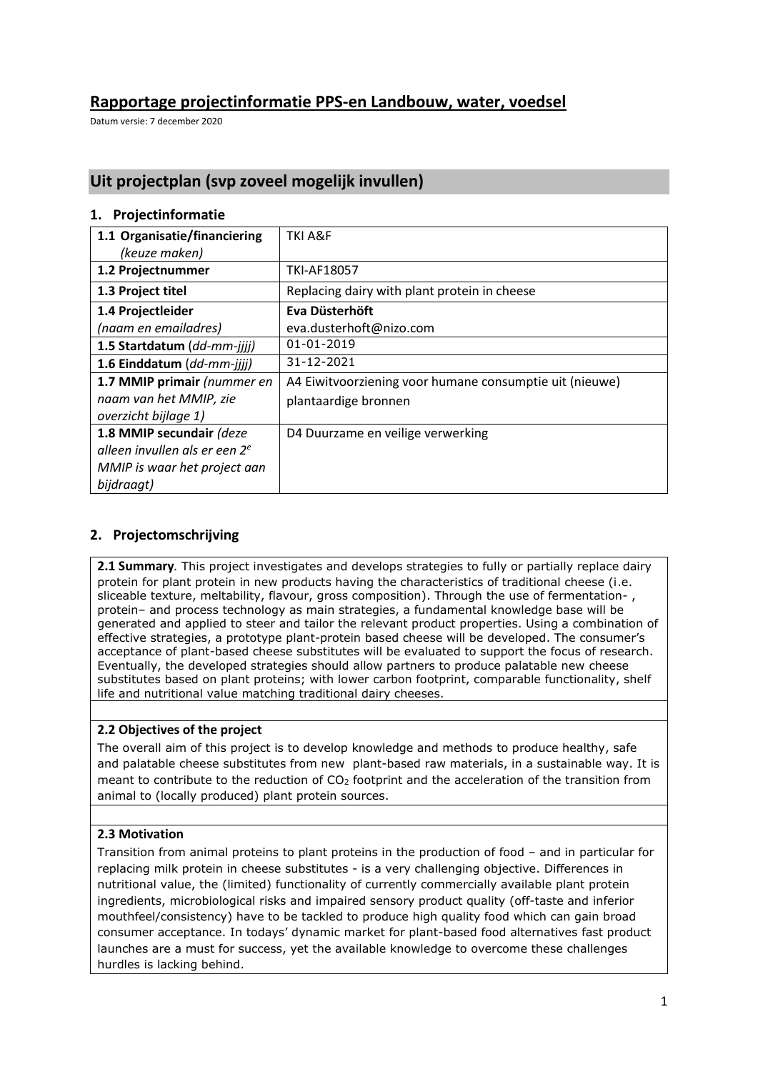# **Rapportage projectinformatie PPS-en Landbouw, water, voedsel**

Datum versie: 7 december 2020

# **Uit projectplan (svp zoveel mogelijk invullen)**

#### **1. Projectinformatie**

| 1.1 Organisatie/financiering     | TKI A&F                                                 |
|----------------------------------|---------------------------------------------------------|
| (keuze maken)                    |                                                         |
| 1.2 Projectnummer                | <b>TKI-AF18057</b>                                      |
| 1.3 Project titel                | Replacing dairy with plant protein in cheese            |
| 1.4 Projectleider                | Eva Düsterhöft                                          |
| (naam en emailadres)             | eva.dusterhoft@nizo.com                                 |
| 1.5 Startdatum (dd-mm-jjjj)      | $01 - 01 - 2019$                                        |
| 1.6 Einddatum (dd-mm-jjjj)       | 31-12-2021                                              |
| 1.7 MMIP primair (nummer en      | A4 Eiwitvoorziening voor humane consumptie uit (nieuwe) |
| naam van het MMIP, zie           | plantaardige bronnen                                    |
| overzicht bijlage 1)             |                                                         |
| 1.8 MMIP secundair (deze         | D4 Duurzame en veilige verwerking                       |
| alleen invullen als er een $2^e$ |                                                         |
| MMIP is waar het project aan     |                                                         |
| bijdraagt)                       |                                                         |

#### **2. Projectomschrijving**

**2.1 Summary***.* This project investigates and develops strategies to fully or partially replace dairy protein for plant protein in new products having the characteristics of traditional cheese (i.e. sliceable texture, meltability, flavour, gross composition). Through the use of fermentation- , protein– and process technology as main strategies, a fundamental knowledge base will be generated and applied to steer and tailor the relevant product properties. Using a combination of effective strategies, a prototype plant-protein based cheese will be developed. The consumer's acceptance of plant-based cheese substitutes will be evaluated to support the focus of research. Eventually, the developed strategies should allow partners to produce palatable new cheese substitutes based on plant proteins; with lower carbon footprint, comparable functionality, shelf life and nutritional value matching traditional dairy cheeses.

#### **2.2 Objectives of the project**

The overall aim of this project is to develop knowledge and methods to produce healthy, safe and palatable cheese substitutes from new plant-based raw materials, in a sustainable way. It is meant to contribute to the reduction of  $CO<sub>2</sub>$  footprint and the acceleration of the transition from animal to (locally produced) plant protein sources.

#### **2.3 Motivation**

Transition from animal proteins to plant proteins in the production of food – and in particular for replacing milk protein in cheese substitutes - is a very challenging objective. Differences in nutritional value, the (limited) functionality of currently commercially available plant protein ingredients, microbiological risks and impaired sensory product quality (off-taste and inferior mouthfeel/consistency) have to be tackled to produce high quality food which can gain broad consumer acceptance. In todays' dynamic market for plant-based food alternatives fast product launches are a must for success, yet the available knowledge to overcome these challenges hurdles is lacking behind.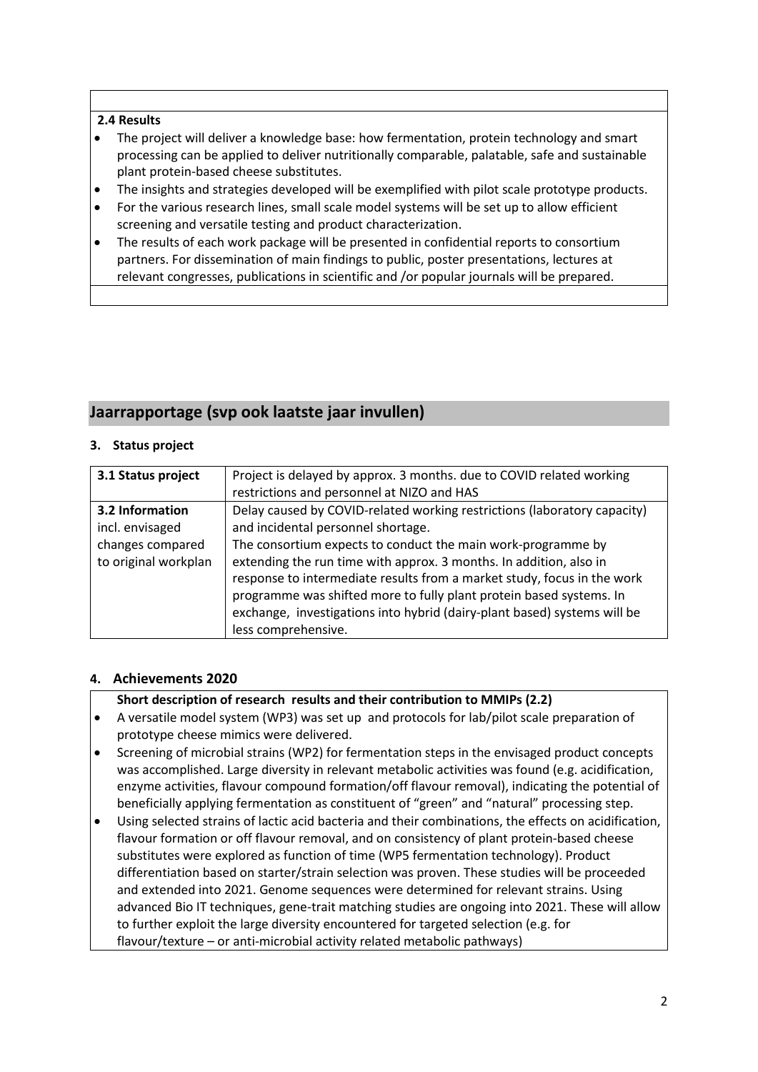#### **2.4 Results**

- The project will deliver a knowledge base: how fermentation, protein technology and smart processing can be applied to deliver nutritionally comparable, palatable, safe and sustainable plant protein-based cheese substitutes.
- The insights and strategies developed will be exemplified with pilot scale prototype products.
- For the various research lines, small scale model systems will be set up to allow efficient screening and versatile testing and product characterization.
- The results of each work package will be presented in confidential reports to consortium partners. For dissemination of main findings to public, poster presentations, lectures at relevant congresses, publications in scientific and /or popular journals will be prepared.

# **Jaarrapportage (svp ook laatste jaar invullen)**

#### **3. Status project**

| 3.1 Status project   | Project is delayed by approx. 3 months. due to COVID related working     |
|----------------------|--------------------------------------------------------------------------|
|                      | restrictions and personnel at NIZO and HAS                               |
| 3.2 Information      | Delay caused by COVID-related working restrictions (laboratory capacity) |
| incl. envisaged      | and incidental personnel shortage.                                       |
| changes compared     | The consortium expects to conduct the main work-programme by             |
| to original workplan | extending the run time with approx. 3 months. In addition, also in       |
|                      | response to intermediate results from a market study, focus in the work  |
|                      | programme was shifted more to fully plant protein based systems. In      |
|                      | exchange, investigations into hybrid (dairy-plant based) systems will be |
|                      | less comprehensive.                                                      |
|                      |                                                                          |

#### **4. Achievements 2020**

#### **Short description of research results and their contribution to MMIPs (2.2)**

- A versatile model system (WP3) was set up and protocols for lab/pilot scale preparation of prototype cheese mimics were delivered.
- Screening of microbial strains (WP2) for fermentation steps in the envisaged product concepts was accomplished. Large diversity in relevant metabolic activities was found (e.g. acidification, enzyme activities, flavour compound formation/off flavour removal), indicating the potential of beneficially applying fermentation as constituent of "green" and "natural" processing step.
- Using selected strains of lactic acid bacteria and their combinations, the effects on acidification, flavour formation or off flavour removal, and on consistency of plant protein-based cheese substitutes were explored as function of time (WP5 fermentation technology). Product differentiation based on starter/strain selection was proven. These studies will be proceeded and extended into 2021. Genome sequences were determined for relevant strains. Using advanced Bio IT techniques, gene-trait matching studies are ongoing into 2021. These will allow to further exploit the large diversity encountered for targeted selection (e.g. for flavour/texture – or anti-microbial activity related metabolic pathways)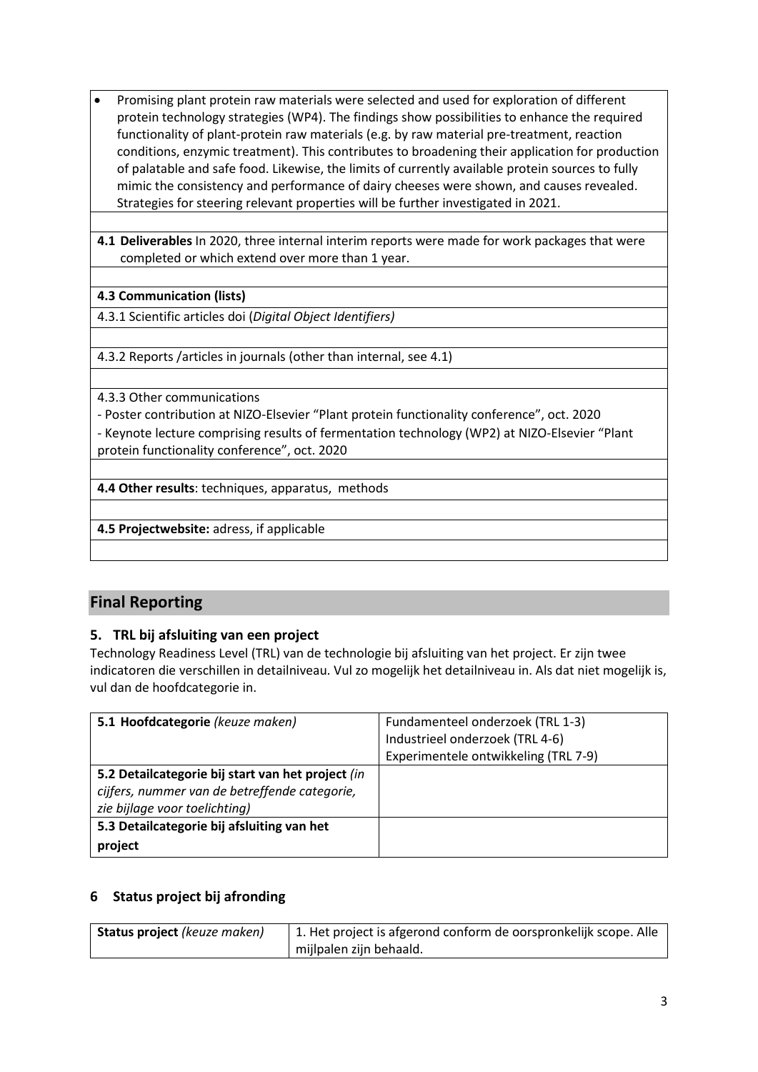- Promising plant protein raw materials were selected and used for exploration of different protein technology strategies (WP4). The findings show possibilities to enhance the required functionality of plant-protein raw materials (e.g. by raw material pre-treatment, reaction conditions, enzymic treatment). This contributes to broadening their application for production of palatable and safe food. Likewise, the limits of currently available protein sources to fully mimic the consistency and performance of dairy cheeses were shown, and causes revealed. Strategies for steering relevant properties will be further investigated in 2021.
- **4.1 Deliverables** In 2020, three internal interim reports were made for work packages that were completed or which extend over more than 1 year.

### **4.3 Communication (lists)**

4.3.1 Scientific articles doi (*Digital Object Identifiers)*

4.3.2 Reports /articles in journals (other than internal, see 4.1)

4.3.3 Other communications

- Poster contribution at NIZO-Elsevier "Plant protein functionality conference", oct. 2020

- Keynote lecture comprising results of fermentation technology (WP2) at NIZO-Elsevier "Plant protein functionality conference", oct. 2020

**4.4 Other results**: techniques, apparatus, methods

**4.5 Projectwebsite:** adress, if applicable

# **Final Reporting**

## **5. TRL bij afsluiting van een project**

Technology Readiness Level (TRL) van de technologie bij afsluiting van het project. Er zijn twee indicatoren die verschillen in detailniveau. Vul zo mogelijk het detailniveau in. Als dat niet mogelijk is, vul dan de hoofdcategorie in.

| 5.1 Hoofdcategorie (keuze maken)                  | Fundamenteel onderzoek (TRL 1-3)     |
|---------------------------------------------------|--------------------------------------|
|                                                   | Industrieel onderzoek (TRL 4-6)      |
|                                                   | Experimentele ontwikkeling (TRL 7-9) |
| 5.2 Detailcategorie bij start van het project (in |                                      |
| cijfers, nummer van de betreffende categorie,     |                                      |
| zie bijlage voor toelichting)                     |                                      |
| 5.3 Detailcategorie bij afsluiting van het        |                                      |
| project                                           |                                      |

## **6 Status project bij afronding**

| <b>Status project</b> (keuze maken) | 1. Het project is afgerond conform de oorspronkelijk scope. Alle |
|-------------------------------------|------------------------------------------------------------------|
|                                     | mijlpalen zijn behaald.                                          |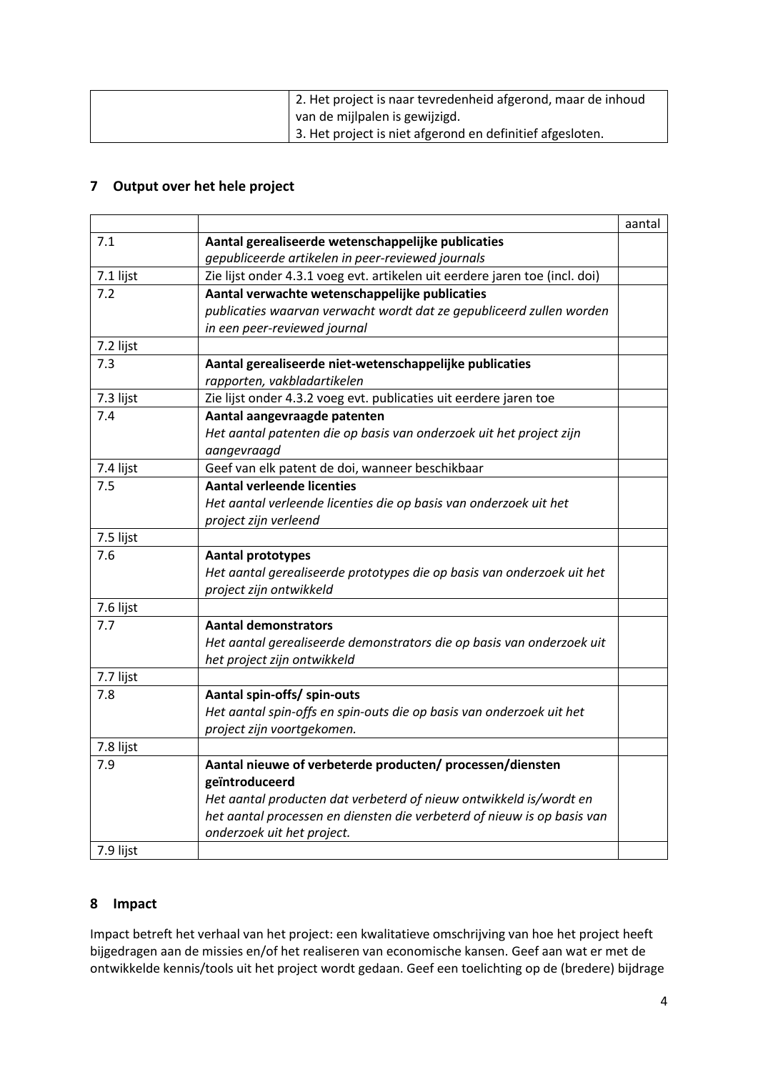| 2. Het project is naar tevredenheid afgerond, maar de inhoud |
|--------------------------------------------------------------|
| van de mijlpalen is gewijzigd.                               |
| 3. Het project is niet afgerond en definitief afgesloten.    |

## **7 Output over het hele project**

|           |                                                                             | aantal |
|-----------|-----------------------------------------------------------------------------|--------|
| 7.1       | Aantal gerealiseerde wetenschappelijke publicaties                          |        |
|           | gepubliceerde artikelen in peer-reviewed journals                           |        |
| 7.1 lijst | Zie lijst onder 4.3.1 voeg evt. artikelen uit eerdere jaren toe (incl. doi) |        |
| 7.2       | Aantal verwachte wetenschappelijke publicaties                              |        |
|           | publicaties waarvan verwacht wordt dat ze gepubliceerd zullen worden        |        |
|           | in een peer-reviewed journal                                                |        |
| 7.2 lijst |                                                                             |        |
| 7.3       | Aantal gerealiseerde niet-wetenschappelijke publicaties                     |        |
|           | rapporten, vakbladartikelen                                                 |        |
| 7.3 lijst | Zie lijst onder 4.3.2 voeg evt. publicaties uit eerdere jaren toe           |        |
| 7.4       | Aantal aangevraagde patenten                                                |        |
|           | Het aantal patenten die op basis van onderzoek uit het project zijn         |        |
|           | aangevraagd                                                                 |        |
| 7.4 lijst | Geef van elk patent de doi, wanneer beschikbaar                             |        |
| 7.5       | <b>Aantal verleende licenties</b>                                           |        |
|           | Het aantal verleende licenties die op basis van onderzoek uit het           |        |
|           | project zijn verleend                                                       |        |
| 7.5 lijst |                                                                             |        |
| 7.6       | <b>Aantal prototypes</b>                                                    |        |
|           | Het aantal gerealiseerde prototypes die op basis van onderzoek uit het      |        |
|           | project zijn ontwikkeld                                                     |        |
| 7.6 lijst |                                                                             |        |
| 7.7       | <b>Aantal demonstrators</b>                                                 |        |
|           | Het aantal gerealiseerde demonstrators die op basis van onderzoek uit       |        |
|           | het project zijn ontwikkeld                                                 |        |
| 7.7 lijst |                                                                             |        |
| 7.8       | Aantal spin-offs/ spin-outs                                                 |        |
|           | Het aantal spin-offs en spin-outs die op basis van onderzoek uit het        |        |
|           | project zijn voortgekomen.                                                  |        |
| 7.8 lijst |                                                                             |        |
| 7.9       | Aantal nieuwe of verbeterde producten/ processen/diensten                   |        |
|           | geïntroduceerd                                                              |        |
|           | Het aantal producten dat verbeterd of nieuw ontwikkeld is/wordt en          |        |
|           | het aantal processen en diensten die verbeterd of nieuw is op basis van     |        |
|           | onderzoek uit het project.                                                  |        |
| 7.9 lijst |                                                                             |        |

#### **8 Impact**

Impact betreft het verhaal van het project: een kwalitatieve omschrijving van hoe het project heeft bijgedragen aan de missies en/of het realiseren van economische kansen. Geef aan wat er met de ontwikkelde kennis/tools uit het project wordt gedaan. Geef een toelichting op de (bredere) bijdrage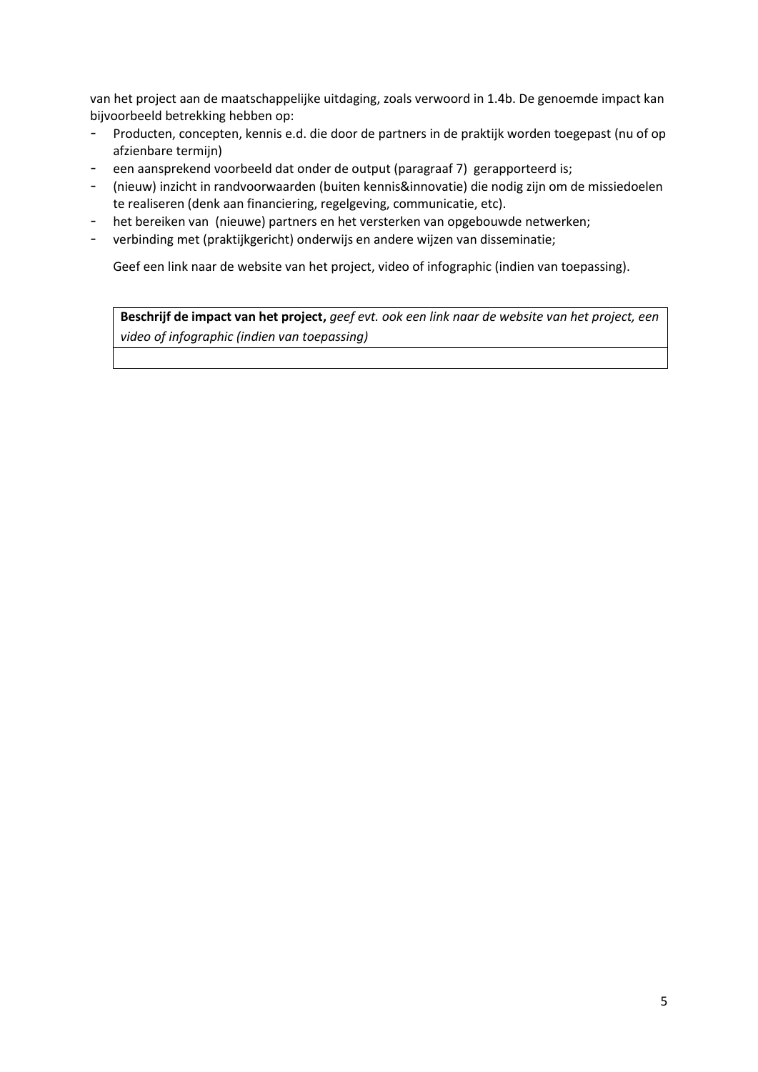van het project aan de maatschappelijke uitdaging, zoals verwoord in 1.4b. De genoemde impact kan bijvoorbeeld betrekking hebben op:

- Producten, concepten, kennis e.d. die door de partners in de praktijk worden toegepast (nu of op afzienbare termijn)
- een aansprekend voorbeeld dat onder de output (paragraaf 7) gerapporteerd is;
- (nieuw) inzicht in randvoorwaarden (buiten kennis&innovatie) die nodig zijn om de missiedoelen te realiseren (denk aan financiering, regelgeving, communicatie, etc).
- het bereiken van (nieuwe) partners en het versterken van opgebouwde netwerken;
- verbinding met (praktijkgericht) onderwijs en andere wijzen van disseminatie;

Geef een link naar de website van het project, video of infographic (indien van toepassing).

**Beschrijf de impact van het project,** *geef evt. ook een link naar de website van het project, een video of infographic (indien van toepassing)*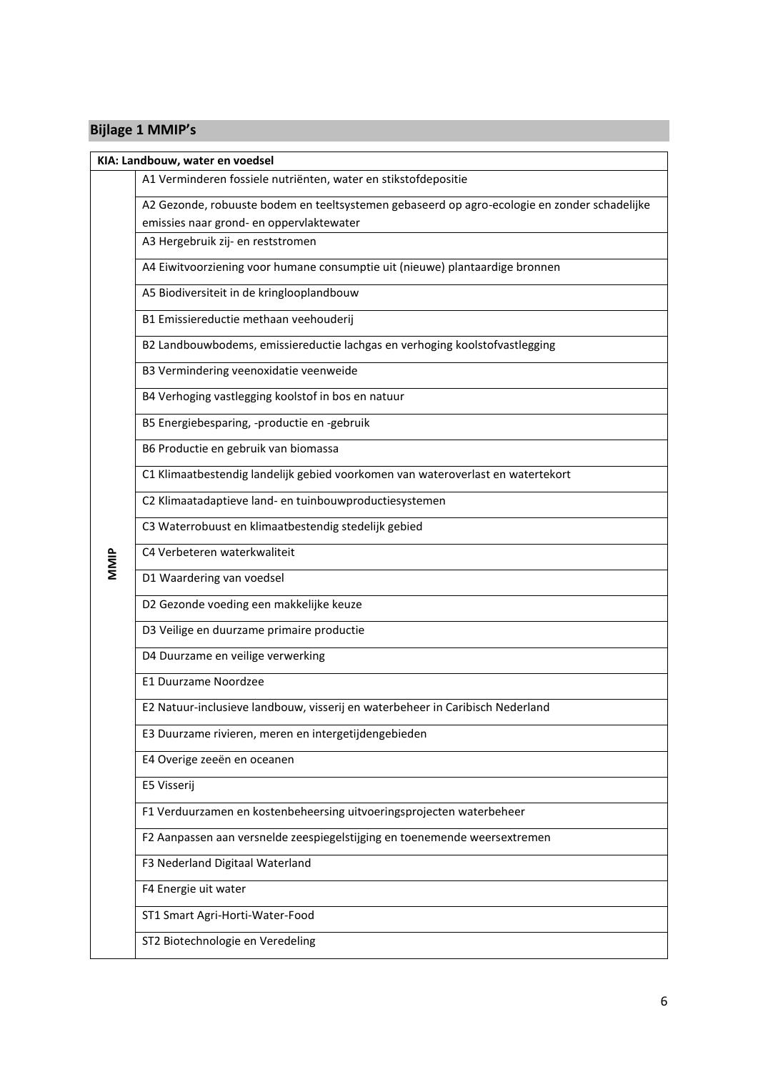# **Bijlage 1 MMIP's**

|      | KIA: Landbouw, water en voedsel                                                              |
|------|----------------------------------------------------------------------------------------------|
|      | A1 Verminderen fossiele nutriënten, water en stikstofdepositie                               |
|      | A2 Gezonde, robuuste bodem en teeltsystemen gebaseerd op agro-ecologie en zonder schadelijke |
|      | emissies naar grond- en oppervlaktewater                                                     |
|      | A3 Hergebruik zij- en reststromen                                                            |
|      | A4 Eiwitvoorziening voor humane consumptie uit (nieuwe) plantaardige bronnen                 |
|      | A5 Biodiversiteit in de kringlooplandbouw                                                    |
|      | B1 Emissiereductie methaan veehouderij                                                       |
|      | B2 Landbouwbodems, emissiereductie lachgas en verhoging koolstofvastlegging                  |
|      | B3 Vermindering veenoxidatie veenweide                                                       |
|      | B4 Verhoging vastlegging koolstof in bos en natuur                                           |
|      | B5 Energiebesparing, -productie en -gebruik                                                  |
|      | B6 Productie en gebruik van biomassa                                                         |
|      | C1 Klimaatbestendig landelijk gebied voorkomen van wateroverlast en watertekort              |
|      | C2 Klimaatadaptieve land- en tuinbouwproductiesystemen                                       |
|      | C3 Waterrobuust en klimaatbestendig stedelijk gebied                                         |
| MMIP | C4 Verbeteren waterkwaliteit                                                                 |
|      | D1 Waardering van voedsel                                                                    |
|      | D2 Gezonde voeding een makkelijke keuze                                                      |
|      | D3 Veilige en duurzame primaire productie                                                    |
|      | D4 Duurzame en veilige verwerking                                                            |
|      | <b>E1 Duurzame Noordzee</b>                                                                  |
|      | E2 Natuur-inclusieve landbouw, visserij en waterbeheer in Caribisch Nederland                |
|      | E3 Duurzame rivieren, meren en intergetijdengebieden                                         |
|      | E4 Overige zeeën en oceanen                                                                  |
|      | E5 Visserij                                                                                  |
|      | F1 Verduurzamen en kostenbeheersing uitvoeringsprojecten waterbeheer                         |
|      | F2 Aanpassen aan versnelde zeespiegelstijging en toenemende weersextremen                    |
|      | F3 Nederland Digitaal Waterland                                                              |
|      | F4 Energie uit water                                                                         |
|      | ST1 Smart Agri-Horti-Water-Food                                                              |
|      | ST2 Biotechnologie en Veredeling                                                             |